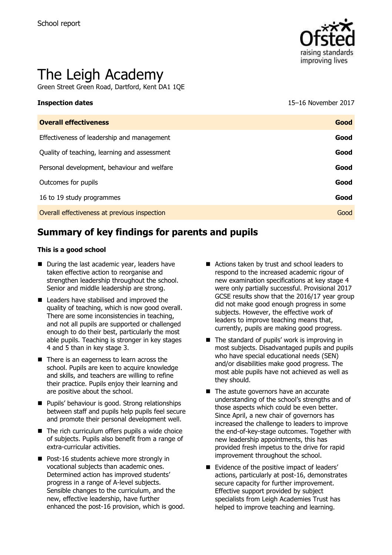

# The Leigh Academy

Green Street Green Road, Dartford, Kent DA1 1QE

**Inspection dates** 15–16 November 2017

| <b>Overall effectiveness</b>                 | Good |
|----------------------------------------------|------|
| Effectiveness of leadership and management   | Good |
| Quality of teaching, learning and assessment | Good |
| Personal development, behaviour and welfare  | Good |
| Outcomes for pupils                          | Good |
| 16 to 19 study programmes                    | Good |
| Overall effectiveness at previous inspection | Good |
|                                              |      |

# **Summary of key findings for parents and pupils**

#### **This is a good school**

- During the last academic year, leaders have taken effective action to reorganise and strengthen leadership throughout the school. Senior and middle leadership are strong.
- Leaders have stabilised and improved the quality of teaching, which is now good overall. There are some inconsistencies in teaching, and not all pupils are supported or challenged enough to do their best, particularly the most able pupils. Teaching is stronger in key stages 4 and 5 than in key stage 3.
- There is an eagerness to learn across the school. Pupils are keen to acquire knowledge and skills, and teachers are willing to refine their practice. Pupils enjoy their learning and are positive about the school.
- **Pupils' behaviour is good. Strong relationships** between staff and pupils help pupils feel secure and promote their personal development well.
- $\blacksquare$  The rich curriculum offers pupils a wide choice of subjects. Pupils also benefit from a range of extra-curricular activities.
- **Post-16 students achieve more strongly in** vocational subjects than academic ones. Determined action has improved students' progress in a range of A-level subjects. Sensible changes to the curriculum, and the new, effective leadership, have further enhanced the post-16 provision, which is good.
- Actions taken by trust and school leaders to respond to the increased academic rigour of new examination specifications at key stage 4 were only partially successful. Provisional 2017 GCSE results show that the 2016/17 year group did not make good enough progress in some subjects. However, the effective work of leaders to improve teaching means that, currently, pupils are making good progress.
- $\blacksquare$  The standard of pupils' work is improving in most subjects. Disadvantaged pupils and pupils who have special educational needs (SEN) and/or disabilities make good progress. The most able pupils have not achieved as well as they should.
- $\blacksquare$  The astute governors have an accurate understanding of the school's strengths and of those aspects which could be even better. Since April, a new chair of governors has increased the challenge to leaders to improve the end-of-key-stage outcomes. Together with new leadership appointments, this has provided fresh impetus to the drive for rapid improvement throughout the school.
- Evidence of the positive impact of leaders' actions, particularly at post-16, demonstrates secure capacity for further improvement. Effective support provided by subject specialists from Leigh Academies Trust has helped to improve teaching and learning.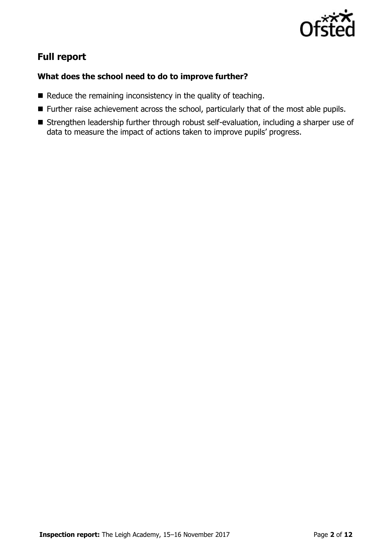

# **Full report**

### **What does the school need to do to improve further?**

- $\blacksquare$  Reduce the remaining inconsistency in the quality of teaching.
- Further raise achievement across the school, particularly that of the most able pupils.
- Strengthen leadership further through robust self-evaluation, including a sharper use of data to measure the impact of actions taken to improve pupils' progress.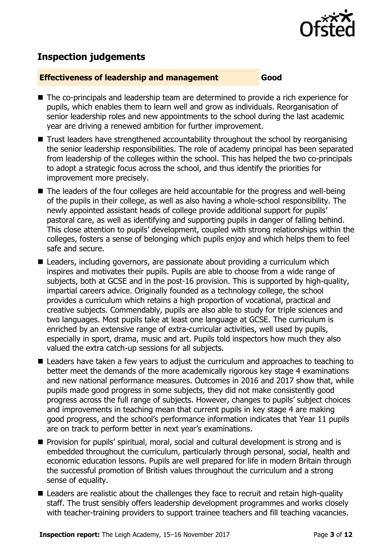

# **Inspection judgements**

#### **Effectiveness of leadership and management Good**

- The co-principals and leadership team are determined to provide a rich experience for pupils, which enables them to learn well and grow as individuals. Reorganisation of senior leadership roles and new appointments to the school during the last academic year are driving a renewed ambition for further improvement.
- Trust leaders have strengthened accountability throughout the school by reorganising the senior leadership responsibilities. The role of academy principal has been separated from leadership of the colleges within the school. This has helped the two co-principals to adopt a strategic focus across the school, and thus identify the priorities for improvement more precisely.
- The leaders of the four colleges are held accountable for the progress and well-being of the pupils in their college, as well as also having a whole-school responsibility. The newly appointed assistant heads of college provide additional support for pupils' pastoral care, as well as identifying and supporting pupils in danger of falling behind. This close attention to pupils' development, coupled with strong relationships within the colleges, fosters a sense of belonging which pupils enjoy and which helps them to feel safe and secure.
- Leaders, including governors, are passionate about providing a curriculum which inspires and motivates their pupils. Pupils are able to choose from a wide range of subjects, both at GCSE and in the post-16 provision. This is supported by high-quality, impartial careers advice. Originally founded as a technology college, the school provides a curriculum which retains a high proportion of vocational, practical and creative subjects. Commendably, pupils are also able to study for triple sciences and two languages. Most pupils take at least one language at GCSE. The curriculum is enriched by an extensive range of extra-curricular activities, well used by pupils, especially in sport, drama, music and art. Pupils told inspectors how much they also valued the extra catch-up sessions for all subjects.
- Leaders have taken a few years to adjust the curriculum and approaches to teaching to better meet the demands of the more academically rigorous key stage 4 examinations and new national performance measures. Outcomes in 2016 and 2017 show that, while pupils made good progress in some subjects, they did not make consistently good progress across the full range of subjects. However, changes to pupils' subject choices and improvements in teaching mean that current pupils in key stage 4 are making good progress, and the school's performance information indicates that Year 11 pupils are on track to perform better in next year's examinations.
- Provision for pupils' spiritual, moral, social and cultural development is strong and is embedded throughout the curriculum, particularly through personal, social, health and economic education lessons. Pupils are well prepared for life in modern Britain through the successful promotion of British values throughout the curriculum and a strong sense of equality.
- Leaders are realistic about the challenges they face to recruit and retain high-quality staff. The trust sensibly offers leadership development programmes and works closely with teacher-training providers to support trainee teachers and fill teaching vacancies.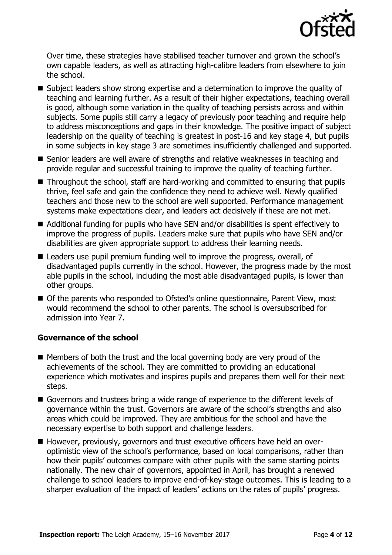

Over time, these strategies have stabilised teacher turnover and grown the school's own capable leaders, as well as attracting high-calibre leaders from elsewhere to join the school.

- Subject leaders show strong expertise and a determination to improve the quality of teaching and learning further. As a result of their higher expectations, teaching overall is good, although some variation in the quality of teaching persists across and within subjects. Some pupils still carry a legacy of previously poor teaching and require help to address misconceptions and gaps in their knowledge. The positive impact of subject leadership on the quality of teaching is greatest in post-16 and key stage 4, but pupils in some subjects in key stage 3 are sometimes insufficiently challenged and supported.
- Senior leaders are well aware of strengths and relative weaknesses in teaching and provide regular and successful training to improve the quality of teaching further.
- Throughout the school, staff are hard-working and committed to ensuring that pupils thrive, feel safe and gain the confidence they need to achieve well. Newly qualified teachers and those new to the school are well supported. Performance management systems make expectations clear, and leaders act decisively if these are not met.
- Additional funding for pupils who have SEN and/or disabilities is spent effectively to improve the progress of pupils. Leaders make sure that pupils who have SEN and/or disabilities are given appropriate support to address their learning needs.
- Leaders use pupil premium funding well to improve the progress, overall, of disadvantaged pupils currently in the school. However, the progress made by the most able pupils in the school, including the most able disadvantaged pupils, is lower than other groups.
- Of the parents who responded to Ofsted's online questionnaire, Parent View, most would recommend the school to other parents. The school is oversubscribed for admission into Year 7.

### **Governance of the school**

- $\blacksquare$  Members of both the trust and the local governing body are very proud of the achievements of the school. They are committed to providing an educational experience which motivates and inspires pupils and prepares them well for their next steps.
- Governors and trustees bring a wide range of experience to the different levels of governance within the trust. Governors are aware of the school's strengths and also areas which could be improved. They are ambitious for the school and have the necessary expertise to both support and challenge leaders.
- However, previously, governors and trust executive officers have held an overoptimistic view of the school's performance, based on local comparisons, rather than how their pupils' outcomes compare with other pupils with the same starting points nationally. The new chair of governors, appointed in April, has brought a renewed challenge to school leaders to improve end-of-key-stage outcomes. This is leading to a sharper evaluation of the impact of leaders' actions on the rates of pupils' progress.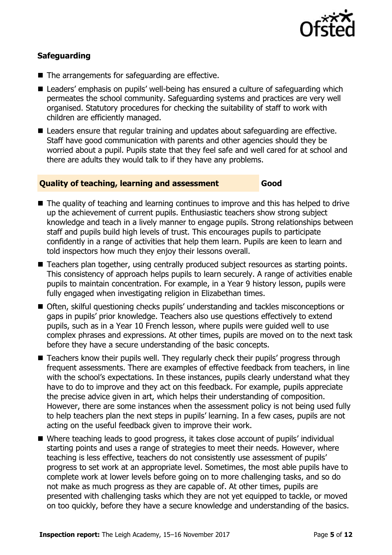

### **Safeguarding**

- The arrangements for safeguarding are effective.
- Leaders' emphasis on pupils' well-being has ensured a culture of safeguarding which permeates the school community. Safeguarding systems and practices are very well organised. Statutory procedures for checking the suitability of staff to work with children are efficiently managed.
- Leaders ensure that regular training and updates about safeguarding are effective. Staff have good communication with parents and other agencies should they be worried about a pupil. Pupils state that they feel safe and well cared for at school and there are adults they would talk to if they have any problems.

#### **Quality of teaching, learning and assessment Good**

- The quality of teaching and learning continues to improve and this has helped to drive up the achievement of current pupils. Enthusiastic teachers show strong subject knowledge and teach in a lively manner to engage pupils. Strong relationships between staff and pupils build high levels of trust. This encourages pupils to participate confidently in a range of activities that help them learn. Pupils are keen to learn and told inspectors how much they enjoy their lessons overall.
- Teachers plan together, using centrally produced subject resources as starting points. This consistency of approach helps pupils to learn securely. A range of activities enable pupils to maintain concentration. For example, in a Year 9 history lesson, pupils were fully engaged when investigating religion in Elizabethan times.
- Often, skilful questioning checks pupils' understanding and tackles misconceptions or gaps in pupils' prior knowledge. Teachers also use questions effectively to extend pupils, such as in a Year 10 French lesson, where pupils were guided well to use complex phrases and expressions. At other times, pupils are moved on to the next task before they have a secure understanding of the basic concepts.
- Teachers know their pupils well. They regularly check their pupils' progress through frequent assessments. There are examples of effective feedback from teachers, in line with the school's expectations. In these instances, pupils clearly understand what they have to do to improve and they act on this feedback. For example, pupils appreciate the precise advice given in art, which helps their understanding of composition. However, there are some instances when the assessment policy is not being used fully to help teachers plan the next steps in pupils' learning. In a few cases, pupils are not acting on the useful feedback given to improve their work.
- Where teaching leads to good progress, it takes close account of pupils' individual starting points and uses a range of strategies to meet their needs. However, where teaching is less effective, teachers do not consistently use assessment of pupils' progress to set work at an appropriate level. Sometimes, the most able pupils have to complete work at lower levels before going on to more challenging tasks, and so do not make as much progress as they are capable of. At other times, pupils are presented with challenging tasks which they are not yet equipped to tackle, or moved on too quickly, before they have a secure knowledge and understanding of the basics.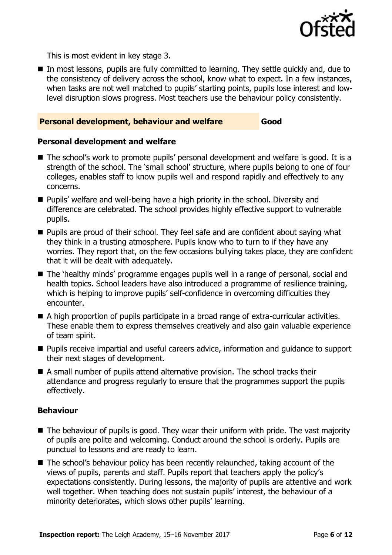

This is most evident in key stage 3.

■ In most lessons, pupils are fully committed to learning. They settle quickly and, due to the consistency of delivery across the school, know what to expect. In a few instances, when tasks are not well matched to pupils' starting points, pupils lose interest and lowlevel disruption slows progress. Most teachers use the behaviour policy consistently.

#### **Personal development, behaviour and welfare Good**

**Personal development and welfare**

- The school's work to promote pupils' personal development and welfare is good. It is a strength of the school. The 'small school' structure, where pupils belong to one of four colleges, enables staff to know pupils well and respond rapidly and effectively to any concerns.
- Pupils' welfare and well-being have a high priority in the school. Diversity and difference are celebrated. The school provides highly effective support to vulnerable pupils.
- **Pupils are proud of their school. They feel safe and are confident about saying what** they think in a trusting atmosphere. Pupils know who to turn to if they have any worries. They report that, on the few occasions bullying takes place, they are confident that it will be dealt with adequately.
- The 'healthy minds' programme engages pupils well in a range of personal, social and health topics. School leaders have also introduced a programme of resilience training, which is helping to improve pupils' self-confidence in overcoming difficulties they encounter.
- A high proportion of pupils participate in a broad range of extra-curricular activities. These enable them to express themselves creatively and also gain valuable experience of team spirit.
- **Pupils receive impartial and useful careers advice, information and quidance to support** their next stages of development.
- A small number of pupils attend alternative provision. The school tracks their attendance and progress regularly to ensure that the programmes support the pupils effectively.

#### **Behaviour**

- The behaviour of pupils is good. They wear their uniform with pride. The vast majority of pupils are polite and welcoming. Conduct around the school is orderly. Pupils are punctual to lessons and are ready to learn.
- The school's behaviour policy has been recently relaunched, taking account of the views of pupils, parents and staff. Pupils report that teachers apply the policy's expectations consistently. During lessons, the majority of pupils are attentive and work well together. When teaching does not sustain pupils' interest, the behaviour of a minority deteriorates, which slows other pupils' learning.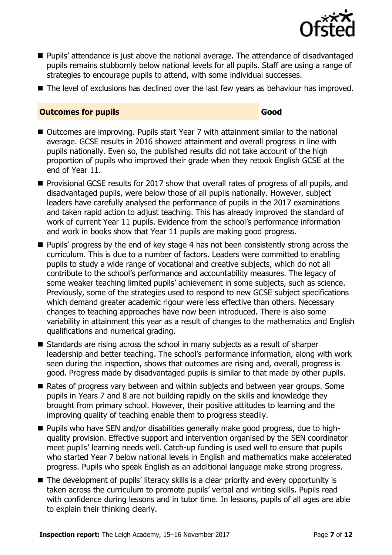

- **Pupils' attendance is just above the national average. The attendance of disadvantaged** pupils remains stubbornly below national levels for all pupils. Staff are using a range of strategies to encourage pupils to attend, with some individual successes.
- The level of exclusions has declined over the last few years as behaviour has improved.

#### **Outcomes for pupils Good**

- Outcomes are improving. Pupils start Year 7 with attainment similar to the national average. GCSE results in 2016 showed attainment and overall progress in line with pupils nationally. Even so, the published results did not take account of the high proportion of pupils who improved their grade when they retook English GCSE at the end of Year 11.
- **Provisional GCSE results for 2017 show that overall rates of progress of all pupils, and** disadvantaged pupils, were below those of all pupils nationally. However, subject leaders have carefully analysed the performance of pupils in the 2017 examinations and taken rapid action to adjust teaching. This has already improved the standard of work of current Year 11 pupils. Evidence from the school's performance information and work in books show that Year 11 pupils are making good progress.
- **Pupils' progress by the end of key stage 4 has not been consistently strong across the** curriculum. This is due to a number of factors. Leaders were committed to enabling pupils to study a wide range of vocational and creative subjects, which do not all contribute to the school's performance and accountability measures. The legacy of some weaker teaching limited pupils' achievement in some subjects, such as science. Previously, some of the strategies used to respond to new GCSE subject specifications which demand greater academic rigour were less effective than others. Necessary changes to teaching approaches have now been introduced. There is also some variability in attainment this year as a result of changes to the mathematics and English qualifications and numerical grading.
- Standards are rising across the school in many subjects as a result of sharper leadership and better teaching. The school's performance information, along with work seen during the inspection, shows that outcomes are rising and, overall, progress is good. Progress made by disadvantaged pupils is similar to that made by other pupils.
- Rates of progress vary between and within subjects and between year groups. Some pupils in Years 7 and 8 are not building rapidly on the skills and knowledge they brought from primary school. However, their positive attitudes to learning and the improving quality of teaching enable them to progress steadily.
- Pupils who have SEN and/or disabilities generally make good progress, due to highquality provision. Effective support and intervention organised by the SEN coordinator meet pupils' learning needs well. Catch-up funding is used well to ensure that pupils who started Year 7 below national levels in English and mathematics make accelerated progress. Pupils who speak English as an additional language make strong progress.
- The development of pupils' literacy skills is a clear priority and every opportunity is taken across the curriculum to promote pupils' verbal and writing skills. Pupils read with confidence during lessons and in tutor time. In lessons, pupils of all ages are able to explain their thinking clearly.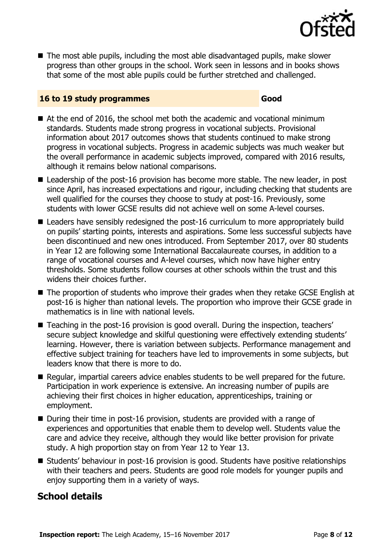

■ The most able pupils, including the most able disadvantaged pupils, make slower progress than other groups in the school. Work seen in lessons and in books shows that some of the most able pupils could be further stretched and challenged.

#### **16 to 19 study programmes Good**

- At the end of 2016, the school met both the academic and vocational minimum standards. Students made strong progress in vocational subjects. Provisional information about 2017 outcomes shows that students continued to make strong progress in vocational subjects. Progress in academic subjects was much weaker but the overall performance in academic subjects improved, compared with 2016 results, although it remains below national comparisons.
- Leadership of the post-16 provision has become more stable. The new leader, in post since April, has increased expectations and rigour, including checking that students are well qualified for the courses they choose to study at post-16. Previously, some students with lower GCSE results did not achieve well on some A-level courses.
- Leaders have sensibly redesigned the post-16 curriculum to more appropriately build on pupils' starting points, interests and aspirations. Some less successful subjects have been discontinued and new ones introduced. From September 2017, over 80 students in Year 12 are following some International Baccalaureate courses, in addition to a range of vocational courses and A-level courses, which now have higher entry thresholds. Some students follow courses at other schools within the trust and this widens their choices further.
- The proportion of students who improve their grades when they retake GCSE English at post-16 is higher than national levels. The proportion who improve their GCSE grade in mathematics is in line with national levels.
- Teaching in the post-16 provision is good overall. During the inspection, teachers' secure subject knowledge and skilful questioning were effectively extending students' learning. However, there is variation between subjects. Performance management and effective subject training for teachers have led to improvements in some subjects, but leaders know that there is more to do.
- $\blacksquare$  Regular, impartial careers advice enables students to be well prepared for the future. Participation in work experience is extensive. An increasing number of pupils are achieving their first choices in higher education, apprenticeships, training or employment.
- During their time in post-16 provision, students are provided with a range of experiences and opportunities that enable them to develop well. Students value the care and advice they receive, although they would like better provision for private study. A high proportion stay on from Year 12 to Year 13.
- Students' behaviour in post-16 provision is good. Students have positive relationships with their teachers and peers. Students are good role models for younger pupils and enjoy supporting them in a variety of ways.

## **School details**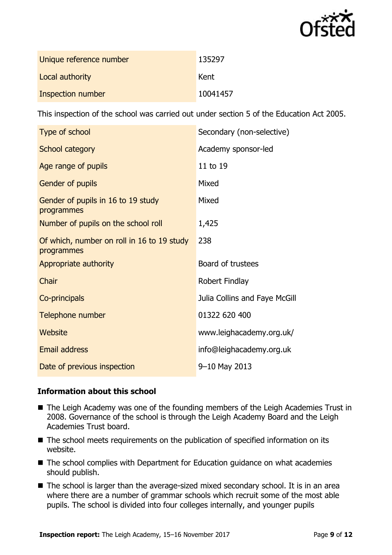

| Unique reference number | 135297   |
|-------------------------|----------|
| Local authority         | Kent     |
| Inspection number       | 10041457 |

This inspection of the school was carried out under section 5 of the Education Act 2005.

| Type of school                                           | Secondary (non-selective)     |
|----------------------------------------------------------|-------------------------------|
| School category                                          | Academy sponsor-led           |
| Age range of pupils                                      | 11 to 19                      |
| Gender of pupils                                         | Mixed                         |
| Gender of pupils in 16 to 19 study<br>programmes         | Mixed                         |
| Number of pupils on the school roll                      | 1,425                         |
| Of which, number on roll in 16 to 19 study<br>programmes | 238                           |
| Appropriate authority                                    | Board of trustees             |
| Chair                                                    | Robert Findlay                |
| Co-principals                                            | Julia Collins and Faye McGill |
| Telephone number                                         | 01322 620 400                 |
| Website                                                  | www.leighacademy.org.uk/      |
| <b>Email address</b>                                     | info@leighacademy.org.uk      |
| Date of previous inspection                              | 9-10 May 2013                 |

### **Information about this school**

- The Leigh Academy was one of the founding members of the Leigh Academies Trust in 2008. Governance of the school is through the Leigh Academy Board and the Leigh Academies Trust board.
- The school meets requirements on the publication of specified information on its website.
- The school complies with Department for Education guidance on what academies should publish.
- The school is larger than the average-sized mixed secondary school. It is in an area where there are a number of grammar schools which recruit some of the most able pupils. The school is divided into four colleges internally, and younger pupils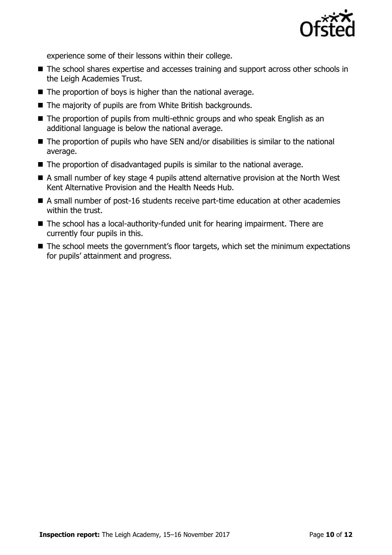

experience some of their lessons within their college.

- The school shares expertise and accesses training and support across other schools in the Leigh Academies Trust.
- $\blacksquare$  The proportion of boys is higher than the national average.
- The majority of pupils are from White British backgrounds.
- The proportion of pupils from multi-ethnic groups and who speak English as an additional language is below the national average.
- The proportion of pupils who have SEN and/or disabilities is similar to the national average.
- $\blacksquare$  The proportion of disadvantaged pupils is similar to the national average.
- A small number of key stage 4 pupils attend alternative provision at the North West Kent Alternative Provision and the Health Needs Hub.
- A small number of post-16 students receive part-time education at other academies within the trust.
- The school has a local-authority-funded unit for hearing impairment. There are currently four pupils in this.
- The school meets the government's floor targets, which set the minimum expectations for pupils' attainment and progress.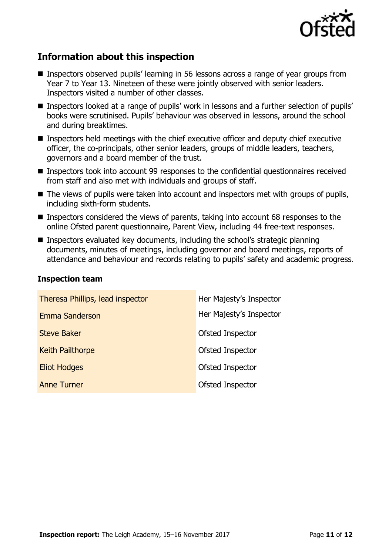

# **Information about this inspection**

- Inspectors observed pupils' learning in 56 lessons across a range of year groups from Year 7 to Year 13. Nineteen of these were jointly observed with senior leaders. Inspectors visited a number of other classes.
- Inspectors looked at a range of pupils' work in lessons and a further selection of pupils' books were scrutinised. Pupils' behaviour was observed in lessons, around the school and during breaktimes.
- Inspectors held meetings with the chief executive officer and deputy chief executive officer, the co-principals, other senior leaders, groups of middle leaders, teachers, governors and a board member of the trust.
- Inspectors took into account 99 responses to the confidential questionnaires received from staff and also met with individuals and groups of staff.
- The views of pupils were taken into account and inspectors met with groups of pupils, including sixth-form students.
- Inspectors considered the views of parents, taking into account 68 responses to the online Ofsted parent questionnaire, Parent View, including 44 free-text responses.
- Inspectors evaluated key documents, including the school's strategic planning documents, minutes of meetings, including governor and board meetings, reports of attendance and behaviour and records relating to pupils' safety and academic progress.

#### **Inspection team**

| Theresa Phillips, lead inspector | Her Majesty's Inspector |
|----------------------------------|-------------------------|
| Emma Sanderson                   | Her Majesty's Inspector |
| <b>Steve Baker</b>               | Ofsted Inspector        |
| <b>Keith Pailthorpe</b>          | Ofsted Inspector        |
| <b>Eliot Hodges</b>              | Ofsted Inspector        |
| <b>Anne Turner</b>               | Ofsted Inspector        |